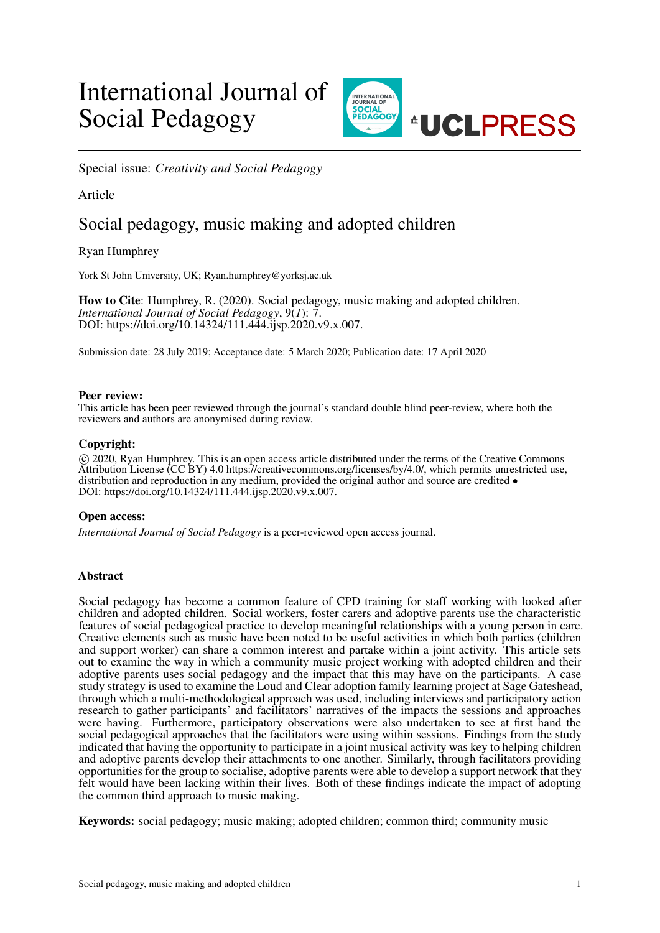# International Journal of Social Pedagogy



Special issue: *Creativity and Social Pedagogy*

# Article

# Social pedagogy, music making and adopted children

Ryan Humphrey

York St John University, UK; Ryan.humphrey@yorksj.ac.uk

How to Cite: Humphrey, R. (2020). Social pedagogy, music making and adopted children. *International Journal of Social Pedagogy*, 9(*1*): 7. DOI: https://doi.org/10.14324/111.444.ijsp.2020.v9.x.007.

Submission date: 28 July 2019; Acceptance date: 5 March 2020; Publication date: 17 April 2020

# Peer review:

This article has been peer reviewed through the journal's standard double blind peer-review, where both the reviewers and authors are anonymised during review.

# Copyright:

 c 2020, Ryan Humphrey. This is an open access article distributed under the terms of the Creative Commons Attribution License (CC BY) 4.0 https://creativecommons.org/licenses/by/4.0/, which permits unrestricted use, distribution and reproduction in any medium, provided the original author and source are credited  $\bullet$ DOI: https://doi.org/10.14324/111.444.ijsp.2020.v9.x.007.

# Open access:

*International Journal of Social Pedagogy* is a peer-reviewed open access journal.

# Abstract

Social pedagogy has become a common feature of CPD training for staff working with looked after children and adopted children. Social workers, foster carers and adoptive parents use the characteristic features of social pedagogical practice to develop meaningful relationships with a young person in care. Creative elements such as music have been noted to be useful activities in which both parties (children and support worker) can share a common interest and partake within a joint activity. This article sets out to examine the way in which a community music project working with adopted children and their adoptive parents uses social pedagogy and the impact that this may have on the participants. A case study strategy is used to examine the Loud and Clear adoption family learning project at Sage Gateshead, through which a multi-methodological approach was used, including interviews and participatory action research to gather participants' and facilitators' narratives of the impacts the sessions and approaches were having. Furthermore, participatory observations were also undertaken to see at first hand the social pedagogical approaches that the facilitators were using within sessions. Findings from the study indicated that having the opportunity to participate in a joint musical activity was key to helping children and adoptive parents develop their attachments to one another. Similarly, through facilitators providing opportunities for the group to socialise, adoptive parents were able to develop a support network that they felt would have been lacking within their lives. Both of these findings indicate the impact of adopting the common third approach to music making.

Keywords: social pedagogy; music making; adopted children; common third; community music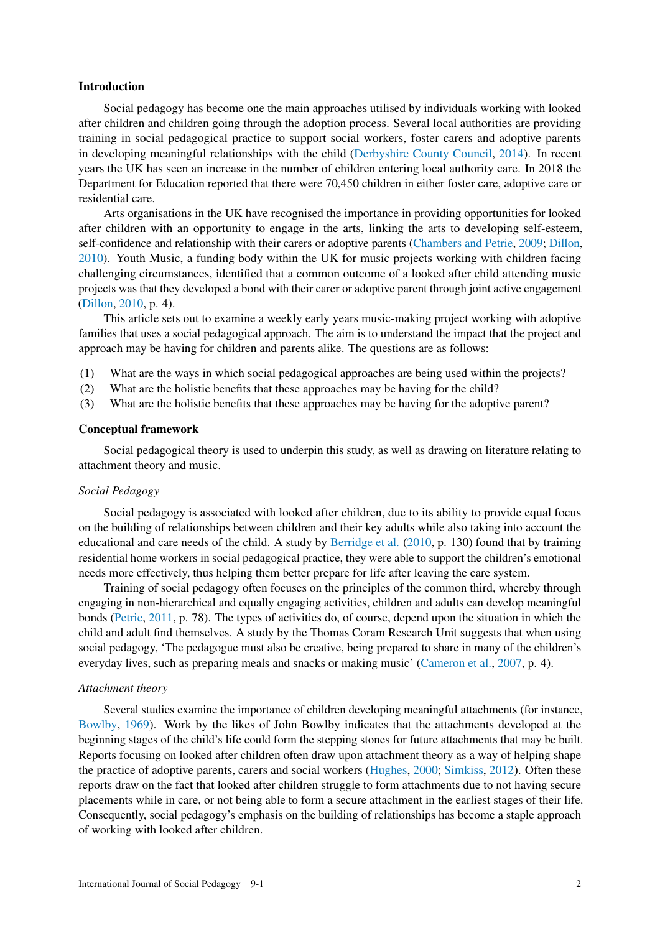#### Introduction

Social pedagogy has become one the main approaches utilised by individuals working with looked after children and children going through the adoption process. Several local authorities are providing training in social pedagogical practice to support social workers, foster carers and adoptive parents in developing meaningful relationships with the child [\(Derbyshire County Council,](#page-6-0) [2014\)](#page-6-0). In recent years the UK has seen an increase in the number of children entering local authority care. In 2018 the Department for Education reported that there were 70,450 children in either foster care, adoptive care or residential care.

Arts organisations in the UK have recognised the importance in providing opportunities for looked after children with an opportunity to engage in the arts, linking the arts to developing self-esteem, self-confidence and relationship with their carers or adoptive parents [\(Chambers and Petrie,](#page-6-1) [2009;](#page-6-1) [Dillon,](#page-6-2) [2010\)](#page-6-2). Youth Music, a funding body within the UK for music projects working with children facing challenging circumstances, identified that a common outcome of a looked after child attending music projects was that they developed a bond with their carer or adoptive parent through joint active engagement [\(Dillon,](#page-6-2) [2010,](#page-6-2) p. 4).

This article sets out to examine a weekly early years music-making project working with adoptive families that uses a social pedagogical approach. The aim is to understand the impact that the project and approach may be having for children and parents alike. The questions are as follows:

- (1) What are the ways in which social pedagogical approaches are being used within the projects?
- (2) What are the holistic benefits that these approaches may be having for the child?
- (3) What are the holistic benefits that these approaches may be having for the adoptive parent?

#### Conceptual framework

Social pedagogical theory is used to underpin this study, as well as drawing on literature relating to attachment theory and music.

#### *Social Pedagogy*

Social pedagogy is associated with looked after children, due to its ability to provide equal focus on the building of relationships between children and their key adults while also taking into account the educational and care needs of the child. A study by [Berridge et al.](#page-6-3) [\(2010,](#page-6-3) p. 130) found that by training residential home workers in social pedagogical practice, they were able to support the children's emotional needs more effectively, thus helping them better prepare for life after leaving the care system.

Training of social pedagogy often focuses on the principles of the common third, whereby through engaging in non-hierarchical and equally engaging activities, children and adults can develop meaningful bonds [\(Petrie,](#page-6-4) [2011,](#page-6-4) p. 78). The types of activities do, of course, depend upon the situation in which the child and adult find themselves. A study by the Thomas Coram Research Unit suggests that when using social pedagogy, 'The pedagogue must also be creative, being prepared to share in many of the children's everyday lives, such as preparing meals and snacks or making music' [\(Cameron et al.,](#page-6-5) [2007,](#page-6-5) p. 4).

#### *Attachment theory*

Several studies examine the importance of children developing meaningful attachments (for instance, [Bowlby,](#page-6-6) [1969\)](#page-6-6). Work by the likes of John Bowlby indicates that the attachments developed at the beginning stages of the child's life could form the stepping stones for future attachments that may be built. Reports focusing on looked after children often draw upon attachment theory as a way of helping shape the practice of adoptive parents, carers and social workers [\(Hughes,](#page-6-7) [2000;](#page-6-7) [Simkiss,](#page-6-8) [2012\)](#page-6-8). Often these reports draw on the fact that looked after children struggle to form attachments due to not having secure placements while in care, or not being able to form a secure attachment in the earliest stages of their life. Consequently, social pedagogy's emphasis on the building of relationships has become a staple approach of working with looked after children.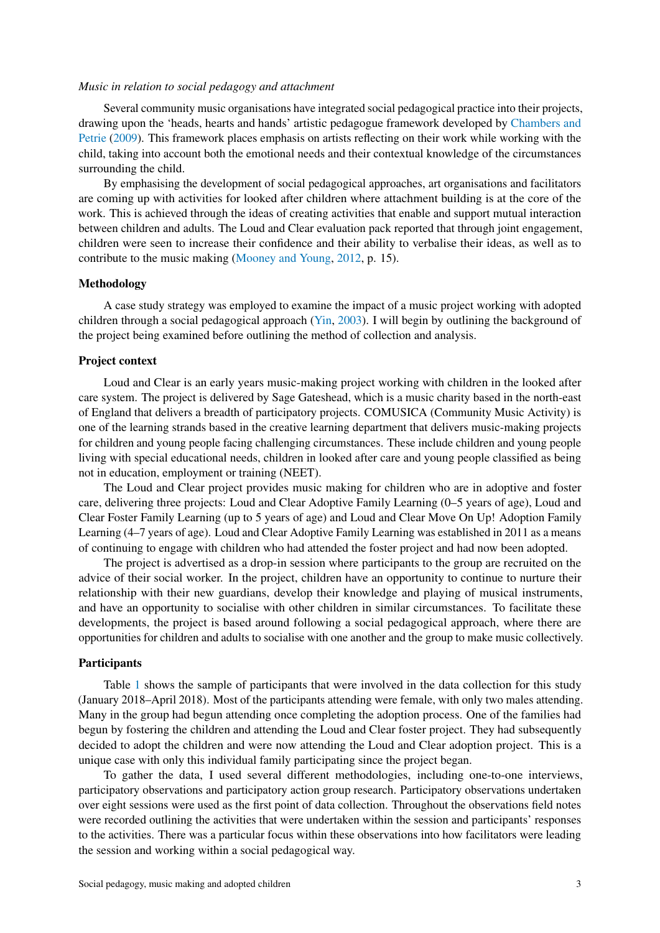#### *Music in relation to social pedagogy and attachment*

Several community music organisations have integrated social pedagogical practice into their projects, drawing upon the 'heads, hearts and hands' artistic pedagogue framework developed by [Chambers and](#page-6-1) [Petrie](#page-6-1) [\(2009\)](#page-6-1). This framework places emphasis on artists reflecting on their work while working with the child, taking into account both the emotional needs and their contextual knowledge of the circumstances surrounding the child.

By emphasising the development of social pedagogical approaches, art organisations and facilitators are coming up with activities for looked after children where attachment building is at the core of the work. This is achieved through the ideas of creating activities that enable and support mutual interaction between children and adults. The Loud and Clear evaluation pack reported that through joint engagement, children were seen to increase their confidence and their ability to verbalise their ideas, as well as to contribute to the music making [\(Mooney and Young,](#page-6-9) [2012,](#page-6-9) p. 15).

#### Methodology

A case study strategy was employed to examine the impact of a music project working with adopted children through a social pedagogical approach [\(Yin,](#page-7-0) [2003\)](#page-7-0). I will begin by outlining the background of the project being examined before outlining the method of collection and analysis.

#### Project context

Loud and Clear is an early years music-making project working with children in the looked after care system. The project is delivered by Sage Gateshead, which is a music charity based in the north-east of England that delivers a breadth of participatory projects. COMUSICA (Community Music Activity) is one of the learning strands based in the creative learning department that delivers music-making projects for children and young people facing challenging circumstances. These include children and young people living with special educational needs, children in looked after care and young people classified as being not in education, employment or training (NEET).

The Loud and Clear project provides music making for children who are in adoptive and foster care, delivering three projects: Loud and Clear Adoptive Family Learning (0–5 years of age), Loud and Clear Foster Family Learning (up to 5 years of age) and Loud and Clear Move On Up! Adoption Family Learning (4–7 years of age). Loud and Clear Adoptive Family Learning was established in 2011 as a means of continuing to engage with children who had attended the foster project and had now been adopted.

The project is advertised as a drop-in session where participants to the group are recruited on the advice of their social worker. In the project, children have an opportunity to continue to nurture their relationship with their new guardians, develop their knowledge and playing of musical instruments, and have an opportunity to socialise with other children in similar circumstances. To facilitate these developments, the project is based around following a social pedagogical approach, where there are opportunities for children and adults to socialise with one another and the group to make music collectively.

#### Participants

Table [1](#page-3-0) shows the sample of participants that were involved in the data collection for this study (January 2018–April 2018). Most of the participants attending were female, with only two males attending. Many in the group had begun attending once completing the adoption process. One of the families had begun by fostering the children and attending the Loud and Clear foster project. They had subsequently decided to adopt the children and were now attending the Loud and Clear adoption project. This is a unique case with only this individual family participating since the project began.

To gather the data, I used several different methodologies, including one-to-one interviews, participatory observations and participatory action group research. Participatory observations undertaken over eight sessions were used as the first point of data collection. Throughout the observations field notes were recorded outlining the activities that were undertaken within the session and participants' responses to the activities. There was a particular focus within these observations into how facilitators were leading the session and working within a social pedagogical way.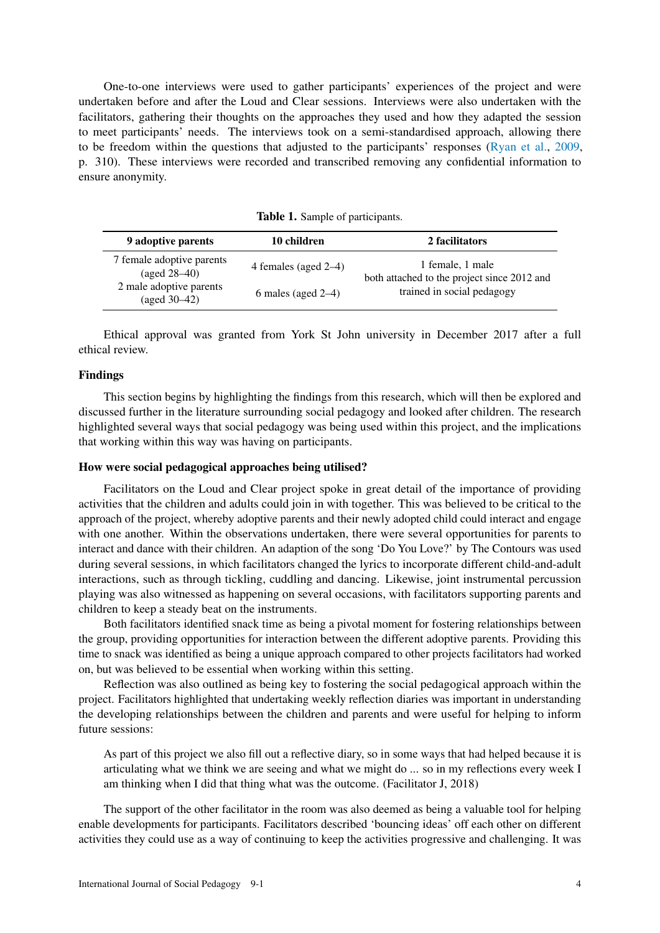One-to-one interviews were used to gather participants' experiences of the project and were undertaken before and after the Loud and Clear sessions. Interviews were also undertaken with the facilitators, gathering their thoughts on the approaches they used and how they adapted the session to meet participants' needs. The interviews took on a semi-standardised approach, allowing there to be freedom within the questions that adjusted to the participants' responses [\(Ryan et al.,](#page-6-10) [2009,](#page-6-10) p. 310). These interviews were recorded and transcribed removing any confidential information to ensure anonymity.

<span id="page-3-0"></span>

| 9 adoptive parents                                     | 10 children             | 2 facilitators                                                                                |
|--------------------------------------------------------|-------------------------|-----------------------------------------------------------------------------------------------|
| 7 female adoptive parents<br>$(a \text{ged } 28 - 40)$ | 4 females (aged $2-4$ ) | 1 female, 1 male<br>both attached to the project since 2012 and<br>trained in social pedagogy |
| 2 male adoptive parents<br>$(aged 30-42)$              | 6 males (aged $2-4$ )   |                                                                                               |

Table 1. Sample of participants.

Ethical approval was granted from York St John university in December 2017 after a full ethical review.

#### Findings

This section begins by highlighting the findings from this research, which will then be explored and discussed further in the literature surrounding social pedagogy and looked after children. The research highlighted several ways that social pedagogy was being used within this project, and the implications that working within this way was having on participants.

# How were social pedagogical approaches being utilised?

Facilitators on the Loud and Clear project spoke in great detail of the importance of providing activities that the children and adults could join in with together. This was believed to be critical to the approach of the project, whereby adoptive parents and their newly adopted child could interact and engage with one another. Within the observations undertaken, there were several opportunities for parents to interact and dance with their children. An adaption of the song 'Do You Love?' by The Contours was used during several sessions, in which facilitators changed the lyrics to incorporate different child-and-adult interactions, such as through tickling, cuddling and dancing. Likewise, joint instrumental percussion playing was also witnessed as happening on several occasions, with facilitators supporting parents and children to keep a steady beat on the instruments.

Both facilitators identified snack time as being a pivotal moment for fostering relationships between the group, providing opportunities for interaction between the different adoptive parents. Providing this time to snack was identified as being a unique approach compared to other projects facilitators had worked on, but was believed to be essential when working within this setting.

Reflection was also outlined as being key to fostering the social pedagogical approach within the project. Facilitators highlighted that undertaking weekly reflection diaries was important in understanding the developing relationships between the children and parents and were useful for helping to inform future sessions:

As part of this project we also fill out a reflective diary, so in some ways that had helped because it is articulating what we think we are seeing and what we might do ... so in my reflections every week I am thinking when I did that thing what was the outcome. (Facilitator J, 2018)

The support of the other facilitator in the room was also deemed as being a valuable tool for helping enable developments for participants. Facilitators described 'bouncing ideas' off each other on different activities they could use as a way of continuing to keep the activities progressive and challenging. It was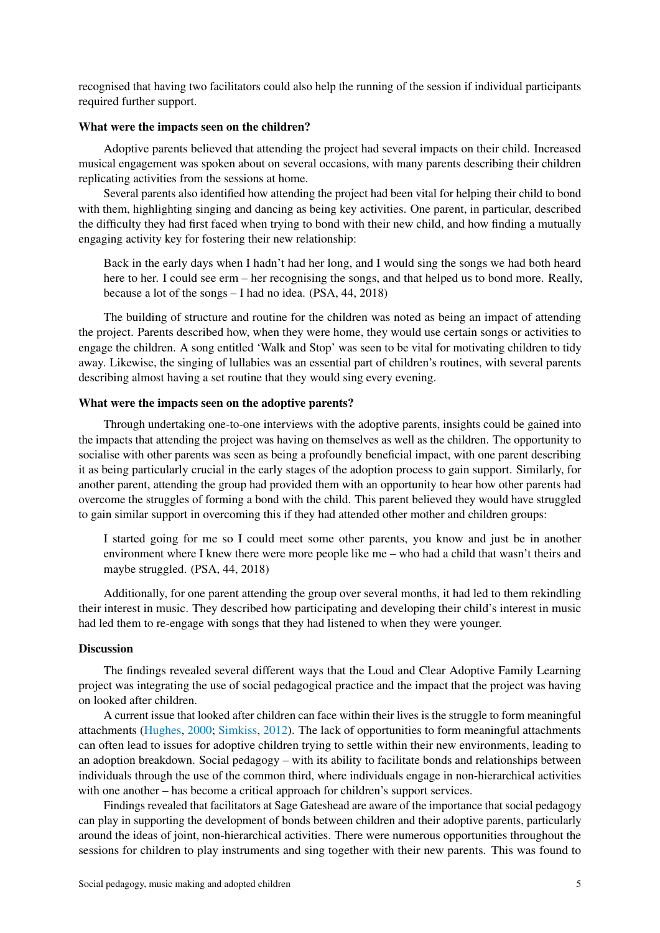recognised that having two facilitators could also help the running of the session if individual participants required further support.

#### What were the impacts seen on the children?

Adoptive parents believed that attending the project had several impacts on their child. Increased musical engagement was spoken about on several occasions, with many parents describing their children replicating activities from the sessions at home.

Several parents also identified how attending the project had been vital for helping their child to bond with them, highlighting singing and dancing as being key activities. One parent, in particular, described the difficulty they had first faced when trying to bond with their new child, and how finding a mutually engaging activity key for fostering their new relationship:

Back in the early days when I hadn't had her long, and I would sing the songs we had both heard here to her. I could see erm – her recognising the songs, and that helped us to bond more. Really, because a lot of the songs – I had no idea. (PSA, 44, 2018)

The building of structure and routine for the children was noted as being an impact of attending the project. Parents described how, when they were home, they would use certain songs or activities to engage the children. A song entitled 'Walk and Stop' was seen to be vital for motivating children to tidy away. Likewise, the singing of lullabies was an essential part of children's routines, with several parents describing almost having a set routine that they would sing every evening.

#### What were the impacts seen on the adoptive parents?

Through undertaking one-to-one interviews with the adoptive parents, insights could be gained into the impacts that attending the project was having on themselves as well as the children. The opportunity to socialise with other parents was seen as being a profoundly beneficial impact, with one parent describing it as being particularly crucial in the early stages of the adoption process to gain support. Similarly, for another parent, attending the group had provided them with an opportunity to hear how other parents had overcome the struggles of forming a bond with the child. This parent believed they would have struggled to gain similar support in overcoming this if they had attended other mother and children groups:

I started going for me so I could meet some other parents, you know and just be in another environment where I knew there were more people like me – who had a child that wasn't theirs and maybe struggled. (PSA, 44, 2018)

Additionally, for one parent attending the group over several months, it had led to them rekindling their interest in music. They described how participating and developing their child's interest in music had led them to re-engage with songs that they had listened to when they were younger.

## Discussion

The findings revealed several different ways that the Loud and Clear Adoptive Family Learning project was integrating the use of social pedagogical practice and the impact that the project was having on looked after children.

A current issue that looked after children can face within their lives is the struggle to form meaningful attachments [\(Hughes,](#page-6-7) [2000;](#page-6-7) [Simkiss,](#page-6-8) [2012\)](#page-6-8). The lack of opportunities to form meaningful attachments can often lead to issues for adoptive children trying to settle within their new environments, leading to an adoption breakdown. Social pedagogy – with its ability to facilitate bonds and relationships between individuals through the use of the common third, where individuals engage in non-hierarchical activities with one another – has become a critical approach for children's support services.

Findings revealed that facilitators at Sage Gateshead are aware of the importance that social pedagogy can play in supporting the development of bonds between children and their adoptive parents, particularly around the ideas of joint, non-hierarchical activities. There were numerous opportunities throughout the sessions for children to play instruments and sing together with their new parents. This was found to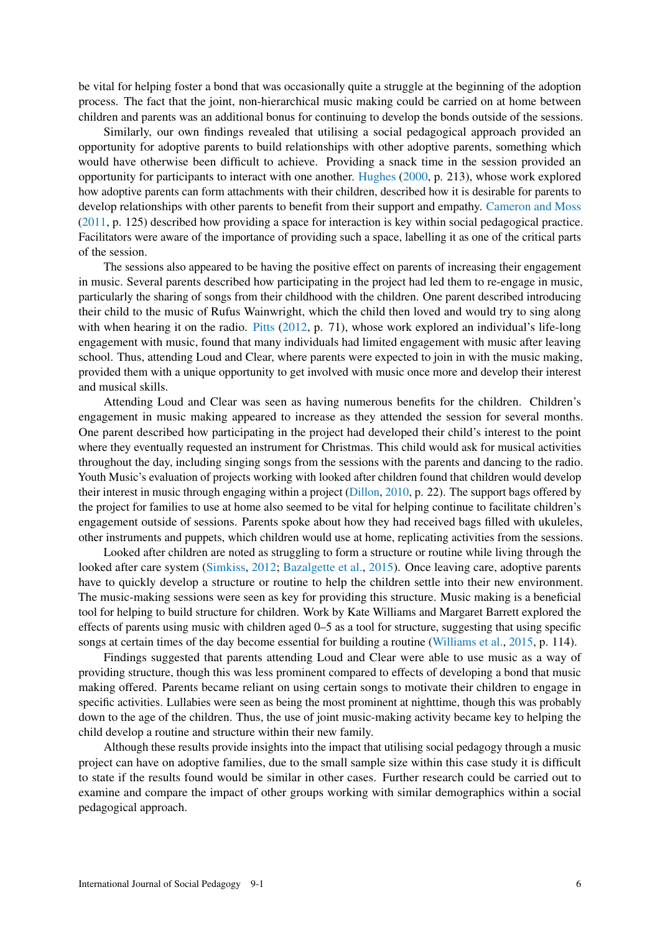be vital for helping foster a bond that was occasionally quite a struggle at the beginning of the adoption process. The fact that the joint, non-hierarchical music making could be carried on at home between children and parents was an additional bonus for continuing to develop the bonds outside of the sessions.

Similarly, our own findings revealed that utilising a social pedagogical approach provided an opportunity for adoptive parents to build relationships with other adoptive parents, something which would have otherwise been difficult to achieve. Providing a snack time in the session provided an opportunity for participants to interact with one another. [Hughes](#page-6-7) [\(2000,](#page-6-7) p. 213), whose work explored how adoptive parents can form attachments with their children, described how it is desirable for parents to develop relationships with other parents to benefit from their support and empathy. [Cameron and Moss](#page-6-11) [\(2011,](#page-6-11) p. 125) described how providing a space for interaction is key within social pedagogical practice. Facilitators were aware of the importance of providing such a space, labelling it as one of the critical parts of the session.

The sessions also appeared to be having the positive effect on parents of increasing their engagement in music. Several parents described how participating in the project had led them to re-engage in music, particularly the sharing of songs from their childhood with the children. One parent described introducing their child to the music of Rufus Wainwright, which the child then loved and would try to sing along with when hearing it on the radio. [Pitts](#page-6-12) [\(2012,](#page-6-12) p. 71), whose work explored an individual's life-long engagement with music, found that many individuals had limited engagement with music after leaving school. Thus, attending Loud and Clear, where parents were expected to join in with the music making, provided them with a unique opportunity to get involved with music once more and develop their interest and musical skills.

Attending Loud and Clear was seen as having numerous benefits for the children. Children's engagement in music making appeared to increase as they attended the session for several months. One parent described how participating in the project had developed their child's interest to the point where they eventually requested an instrument for Christmas. This child would ask for musical activities throughout the day, including singing songs from the sessions with the parents and dancing to the radio. Youth Music's evaluation of projects working with looked after children found that children would develop their interest in music through engaging within a project [\(Dillon,](#page-6-2) [2010,](#page-6-2) p. 22). The support bags offered by the project for families to use at home also seemed to be vital for helping continue to facilitate children's engagement outside of sessions. Parents spoke about how they had received bags filled with ukuleles, other instruments and puppets, which children would use at home, replicating activities from the sessions.

Looked after children are noted as struggling to form a structure or routine while living through the looked after care system [\(Simkiss,](#page-6-8) [2012;](#page-6-8) [Bazalgette et al.,](#page-6-13) [2015\)](#page-6-13). Once leaving care, adoptive parents have to quickly develop a structure or routine to help the children settle into their new environment. The music-making sessions were seen as key for providing this structure. Music making is a beneficial tool for helping to build structure for children. Work by Kate Williams and Margaret Barrett explored the effects of parents using music with children aged 0–5 as a tool for structure, suggesting that using specific songs at certain times of the day become essential for building a routine [\(Williams et al.,](#page-7-1) [2015,](#page-7-1) p. 114).

Findings suggested that parents attending Loud and Clear were able to use music as a way of providing structure, though this was less prominent compared to effects of developing a bond that music making offered. Parents became reliant on using certain songs to motivate their children to engage in specific activities. Lullabies were seen as being the most prominent at nighttime, though this was probably down to the age of the children. Thus, the use of joint music-making activity became key to helping the child develop a routine and structure within their new family.

Although these results provide insights into the impact that utilising social pedagogy through a music project can have on adoptive families, due to the small sample size within this case study it is difficult to state if the results found would be similar in other cases. Further research could be carried out to examine and compare the impact of other groups working with similar demographics within a social pedagogical approach.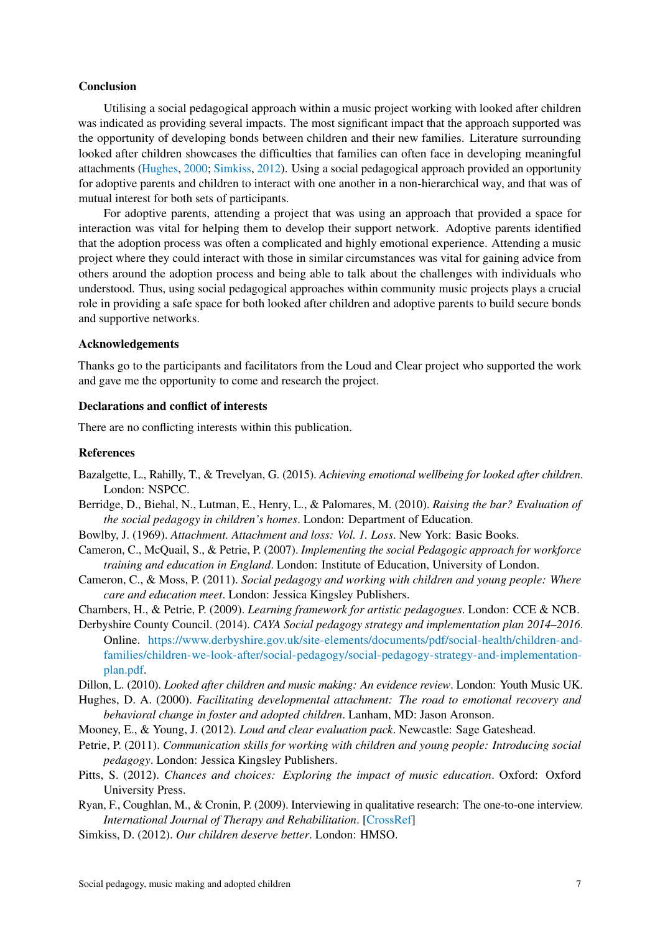#### Conclusion

Utilising a social pedagogical approach within a music project working with looked after children was indicated as providing several impacts. The most significant impact that the approach supported was the opportunity of developing bonds between children and their new families. Literature surrounding looked after children showcases the difficulties that families can often face in developing meaningful attachments [\(Hughes,](#page-6-7) [2000;](#page-6-7) [Simkiss,](#page-6-8) [2012\)](#page-6-8). Using a social pedagogical approach provided an opportunity for adoptive parents and children to interact with one another in a non-hierarchical way, and that was of mutual interest for both sets of participants.

For adoptive parents, attending a project that was using an approach that provided a space for interaction was vital for helping them to develop their support network. Adoptive parents identified that the adoption process was often a complicated and highly emotional experience. Attending a music project where they could interact with those in similar circumstances was vital for gaining advice from others around the adoption process and being able to talk about the challenges with individuals who understood. Thus, using social pedagogical approaches within community music projects plays a crucial role in providing a safe space for both looked after children and adoptive parents to build secure bonds and supportive networks.

#### Acknowledgements

Thanks go to the participants and facilitators from the Loud and Clear project who supported the work and gave me the opportunity to come and research the project.

## Declarations and conflict of interests

There are no conflicting interests within this publication.

#### References

- <span id="page-6-13"></span>Bazalgette, L., Rahilly, T., & Trevelyan, G. (2015). *Achieving emotional wellbeing for looked after children*. London: NSPCC.
- <span id="page-6-3"></span>Berridge, D., Biehal, N., Lutman, E., Henry, L., & Palomares, M. (2010). *Raising the bar? Evaluation of the social pedagogy in children's homes*. London: Department of Education.
- <span id="page-6-6"></span>Bowlby, J. (1969). *Attachment. Attachment and loss: Vol. 1. Loss*. New York: Basic Books.
- <span id="page-6-5"></span>Cameron, C., McQuail, S., & Petrie, P. (2007). *Implementing the social Pedagogic approach for workforce training and education in England*. London: Institute of Education, University of London.
- <span id="page-6-11"></span>Cameron, C., & Moss, P. (2011). *Social pedagogy and working with children and young people: Where care and education meet*. London: Jessica Kingsley Publishers.
- <span id="page-6-1"></span>Chambers, H., & Petrie, P. (2009). *Learning framework for artistic pedagogues*. London: CCE & NCB.
- <span id="page-6-0"></span>Derbyshire County Council. (2014). *CAYA Social pedagogy strategy and implementation plan 2014–2016*. Online. [https://www.derbyshire.gov.uk/site-elements/documents/pdf/social-health/children-and](https://www.derbyshire.gov.uk/site-elements/documents/pdf/social-health/children-and-families/children-we-look-after/social-pedagogy/social-pedagogy-strategy-and-implementation-plan.pdf)[families/children-we-look-after/social-pedagogy/social-pedagogy-strategy-and-implementation](https://www.derbyshire.gov.uk/site-elements/documents/pdf/social-health/children-and-families/children-we-look-after/social-pedagogy/social-pedagogy-strategy-and-implementation-plan.pdf)[plan.pdf.](https://www.derbyshire.gov.uk/site-elements/documents/pdf/social-health/children-and-families/children-we-look-after/social-pedagogy/social-pedagogy-strategy-and-implementation-plan.pdf)
- <span id="page-6-2"></span>Dillon, L. (2010). *Looked after children and music making: An evidence review*. London: Youth Music UK.
- <span id="page-6-7"></span>Hughes, D. A. (2000). *Facilitating developmental attachment: The road to emotional recovery and behavioral change in foster and adopted children*. Lanham, MD: Jason Aronson.
- <span id="page-6-9"></span>Mooney, E., & Young, J. (2012). *Loud and clear evaluation pack*. Newcastle: Sage Gateshead.
- <span id="page-6-4"></span>Petrie, P. (2011). *Communication skills for working with children and young people: Introducing social pedagogy*. London: Jessica Kingsley Publishers.
- <span id="page-6-12"></span>Pitts, S. (2012). *Chances and choices: Exploring the impact of music education*. Oxford: Oxford University Press.
- <span id="page-6-10"></span>Ryan, F., Coughlan, M., & Cronin, P. (2009). Interviewing in qualitative research: The one-to-one interview. *International Journal of Therapy and Rehabilitation*. [\[CrossRef\]](http://dx.doi.org/10.12968/ijtr.2009.16.6.42433)
- <span id="page-6-8"></span>Simkiss, D. (2012). *Our children deserve better*. London: HMSO.